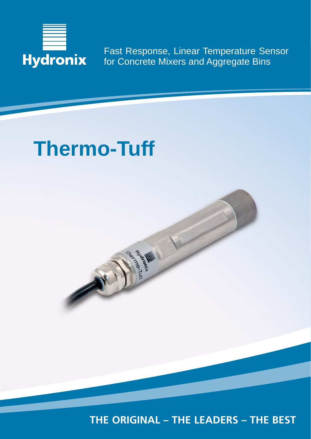

Fast Response, Linear Temperature Sensor for Concrete Mixers and Aggregate Bins

# **Thermo-Tuff**

MISSION